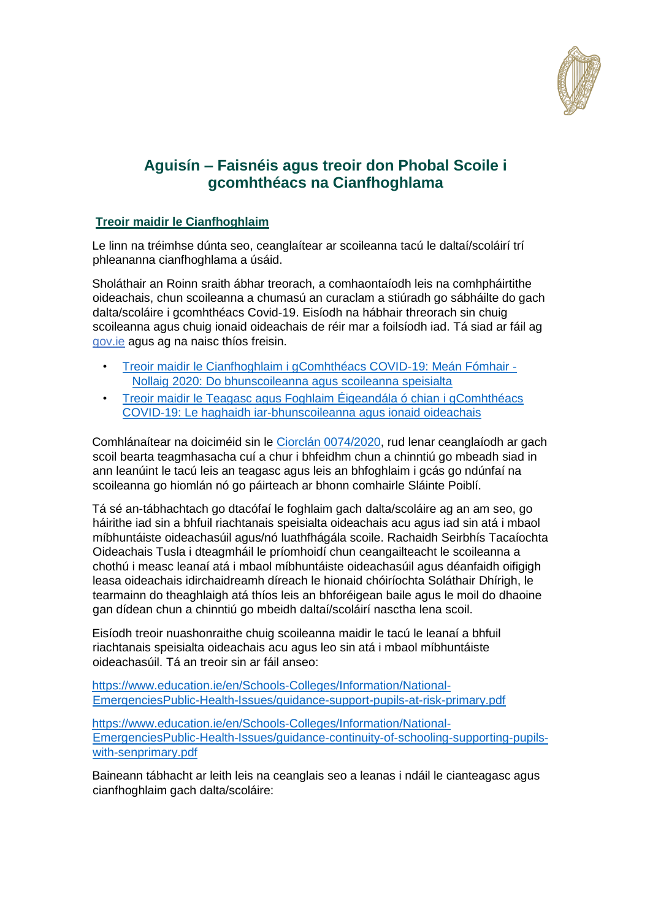

# **Aguisín – Faisnéis agus treoir don Phobal Scoile i gcomhthéacs na Cianfhoghlama**

#### **Treoir maidir le Cianfhoghlaim**

Le linn na tréimhse dúnta seo, ceanglaítear ar scoileanna tacú le daltaí/scoláirí trí phleananna cianfhoghlama a úsáid.

Sholáthair an Roinn sraith ábhar treorach, a comhaontaíodh leis na comhpháirtithe oideachais, chun scoileanna a chumasú an curaclam a stiúradh go sábháilte do gach dalta/scoláire i gcomhthéacs Covid-19. Eisíodh na hábhair threorach sin chuig scoileanna agus chuig ionaid oideachais de réir mar a foilsíodh iad. Tá siad ar fáil ag [gov.ie](http://www.gov.ie/backtoschool) [a](http://www.gov.ie/backtoschool)gus ag na naisc thíos freisin.

- [Treoir maidir le Cianfhoghlaim i gComhthéacs COVID-19: Meán Fómhair -](https://www.gov.ie/en/publication/a0bff-reopening-our-primary-and-special-schools/#additional-guidelines-and-procedures) [Nollaig 2020: Do bhunscoileanna agus scoileanna speisialta](https://www.gov.ie/en/publication/a0bff-reopening-our-primary-and-special-schools/#additional-guidelines-and-procedures)
- [Treoir maidir le Teagasc agus Foghlaim Éigeandála ó chian](https://www.gov.ie/en/publication/7acad-reopening-our-post-primary-schools/#additional-guidelines-and-procedures) i gComhthéac[s](https://www.gov.ie/en/publication/7acad-reopening-our-post-primary-schools/#additional-guidelines-and-procedures) [COVID-19: Le haghaidh iar-bhunscoileanna agus ionaid oideachais](https://www.gov.ie/en/publication/7acad-reopening-our-post-primary-schools/#additional-guidelines-and-procedures)

Comhlánaítear na doiciméid sin le [Ciorclán 0074/2020,](https://www.education.ie/en/Circulars-and-Forms/Active-Circulars/cl0074_2020.pdf) rud lenar ceanglaíodh ar gach scoil bearta teagmhasacha cuí a chur i bhfeidhm chun a chinntiú go mbeadh siad in ann leanúint le tacú leis an teagasc agus leis an bhfoghlaim i gcás go ndúnfaí na scoileanna go hiomlán nó go páirteach ar bhonn comhairle Sláinte Poiblí.

Tá sé an-tábhachtach go dtacófaí le foghlaim gach dalta/scoláire ag an am seo, go háirithe iad sin a bhfuil riachtanais speisialta oideachais acu agus iad sin atá i mbaol míbhuntáiste oideachasúil agus/nó luathfhágála scoile. Rachaidh Seirbhís Tacaíochta Oideachais Tusla i dteagmháil le príomhoidí chun ceangailteacht le scoileanna a chothú i measc leanaí atá i mbaol míbhuntáiste oideachasúil agus déanfaidh oifigigh leasa oideachais idirchaidreamh díreach le hionaid chóiríochta Soláthair Dhírigh, le tearmainn do theaghlaigh atá thíos leis an bhforéigean baile agus le moil do dhaoine gan dídean chun a chinntiú go mbeidh daltaí/scoláirí nasctha lena scoil.

Eisíodh treoir nuashonraithe chuig scoileanna maidir le tacú le leanaí a bhfuil riachtanais speisialta oideachais acu agus leo sin atá i mbaol míbhuntáiste oideachasúil. Tá an treoir sin ar fáil anseo:

[https://www.education.ie/en/Schools-Colleges/Information/National-](https://www.education.ie/en/Schools-Colleges/Information/National-Emergencies-Public-Health-Issues/guidance-support-pupils-at-risk-primary.pdf)[EmergenciesPublic-Health-Issues/guidance-support-pupils-at-risk-primary.pdf](https://www.education.ie/en/Schools-Colleges/Information/National-Emergencies-Public-Health-Issues/guidance-support-pupils-at-risk-primary.pdf)

[https://www.education.ie/en/Schools-Colleges/Information/National-](https://www.education.ie/en/Schools-Colleges/Information/National-Emergencies-Public-Health-Issues/guidance-continuity-of-schooling-supporting-pupils-with-sen-primary.pdf)[EmergenciesPublic-Health-Issues/guidance-continuity-of-schooling-supporting-pupils](https://www.education.ie/en/Schools-Colleges/Information/National-Emergencies-Public-Health-Issues/guidance-continuity-of-schooling-supporting-pupils-with-sen-primary.pdf)[with-senprimary.pdf](https://www.education.ie/en/Schools-Colleges/Information/National-Emergencies-Public-Health-Issues/guidance-continuity-of-schooling-supporting-pupils-with-sen-primary.pdf)

Baineann tábhacht ar leith leis na ceanglais seo a leanas i ndáil le cianteagasc agus cianfhoghlaim gach dalta/scoláire: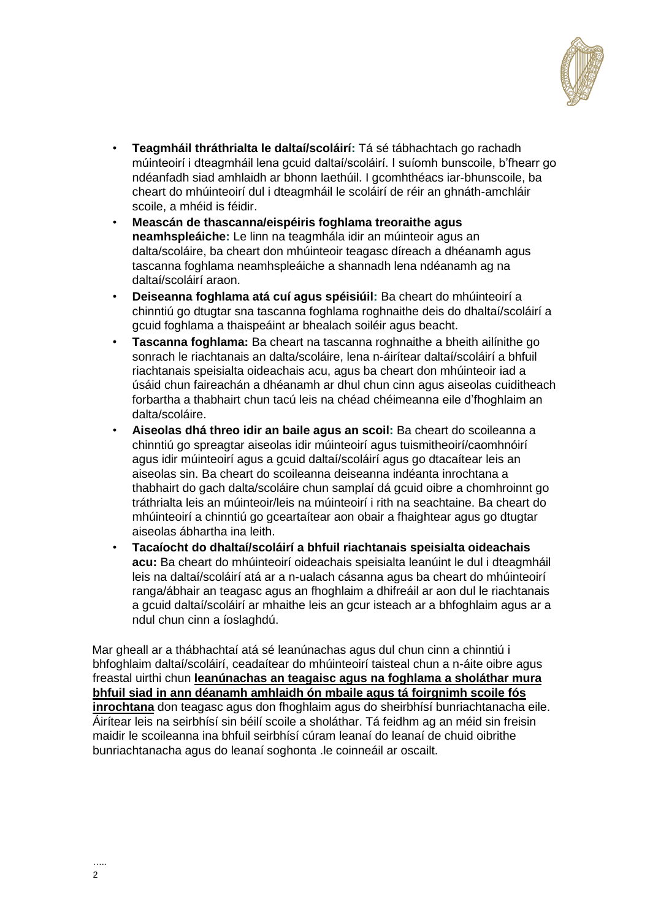

- **Teagmháil thráthrialta le daltaí/scoláirí:** Tá sé tábhachtach go rachadh múinteoirí i dteagmháil lena gcuid daltaí/scoláirí. I suíomh bunscoile, b'fhearr go ndéanfadh siad amhlaidh ar bhonn laethúil. I gcomhthéacs iar-bhunscoile, ba cheart do mhúinteoirí dul i dteagmháil le scoláirí de réir an ghnáth-amchláir scoile, a mhéid is féidir.
- **Meascán de thascanna/eispéiris foghlama treoraithe agus neamhspleáiche:** Le linn na teagmhála idir an múinteoir agus an dalta/scoláire, ba cheart don mhúinteoir teagasc díreach a dhéanamh agus tascanna foghlama neamhspleáiche a shannadh lena ndéanamh ag na daltaí/scoláirí araon.
- **Deiseanna foghlama atá cuí agus spéisiúil:** Ba cheart do mhúinteoirí a chinntiú go dtugtar sna tascanna foghlama roghnaithe deis do dhaltaí/scoláirí a gcuid foghlama a thaispeáint ar bhealach soiléir agus beacht.
- **Tascanna foghlama:** Ba cheart na tascanna roghnaithe a bheith ailínithe go sonrach le riachtanais an dalta/scoláire, lena n-áirítear daltaí/scoláirí a bhfuil riachtanais speisialta oideachais acu, agus ba cheart don mhúinteoir iad a úsáid chun faireachán a dhéanamh ar dhul chun cinn agus aiseolas cuiditheach forbartha a thabhairt chun tacú leis na chéad chéimeanna eile d'fhoghlaim an dalta/scoláire.
- **Aiseolas dhá threo idir an baile agus an scoil:** Ba cheart do scoileanna a chinntiú go spreagtar aiseolas idir múinteoirí agus tuismitheoirí/caomhnóirí agus idir múinteoirí agus a gcuid daltaí/scoláirí agus go dtacaítear leis an aiseolas sin. Ba cheart do scoileanna deiseanna indéanta inrochtana a thabhairt do gach dalta/scoláire chun samplaí dá gcuid oibre a chomhroinnt go tráthrialta leis an múinteoir/leis na múinteoirí i rith na seachtaine. Ba cheart do mhúinteoirí a chinntiú go gceartaítear aon obair a fhaightear agus go dtugtar aiseolas ábhartha ina leith.
- **Tacaíocht do dhaltaí/scoláirí a bhfuil riachtanais speisialta oideachais acu:** Ba cheart do mhúinteoirí oideachais speisialta leanúint le dul i dteagmháil leis na daltaí/scoláirí atá ar a n-ualach cásanna agus ba cheart do mhúinteoirí ranga/ábhair an teagasc agus an fhoghlaim a dhifreáil ar aon dul le riachtanais a gcuid daltaí/scoláirí ar mhaithe leis an gcur isteach ar a bhfoghlaim agus ar a ndul chun cinn a íoslaghdú.

Mar gheall ar a thábhachtaí atá sé leanúnachas agus dul chun cinn a chinntiú i bhfoghlaim daltaí/scoláirí, ceadaítear do mhúinteoirí taisteal chun a n-áite oibre agus freastal uirthi chun **leanúnachas an teagaisc agus na foghlama a sholáthar mura bhfuil siad in ann déanamh amhlaidh ón mbaile agus tá foirgnimh scoile fós inrochtana** don teagasc agus don fhoghlaim agus do sheirbhísí bunriachtanacha eile. Áirítear leis na seirbhísí sin béilí scoile a sholáthar. Tá feidhm ag an méid sin freisin maidir le scoileanna ina bhfuil seirbhísí cúram leanaí do leanaí de chuid oibrithe bunriachtanacha agus do leanaí soghonta .le coinneáil ar oscailt.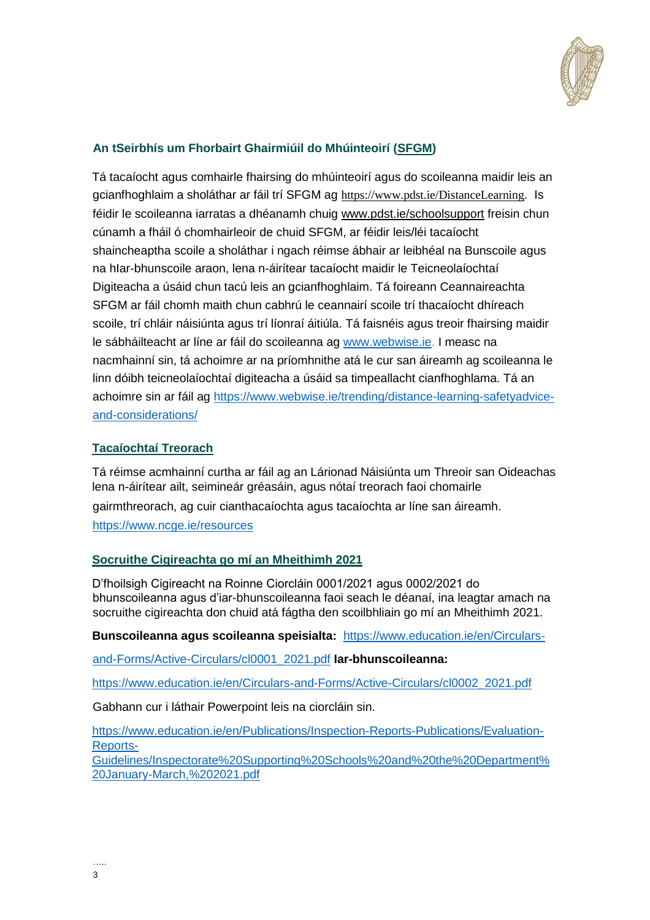

### **An tSeirbhís um Fhorbairt Ghairmiúil do Mhúinteoirí (SFGM)**

Tá tacaíocht agus comhairle fhairsing do mhúinteoirí agus do scoileanna maidir leis an gcianfhoghlaim a sholáthar ar fáil trí SFGM ag <https://www.pdst.ie/DistanceLearning>[.](https://www.pdst.ie/DistanceLearning) Is féidir le scoileanna iarratas a dhéanamh chuig [www.pdst.ie/schoolsupport](http://www.pdst.ie/schoolsupport) freisin chun cúnamh a fháil ó chomhairleoir de chuid SFGM, ar féidir leis/léi tacaíocht shaincheaptha scoile a sholáthar i ngach réimse ábhair ar leibhéal na Bunscoile agus na hIar-bhunscoile araon, lena n-áirítear tacaíocht maidir le Teicneolaíochtaí Digiteacha a úsáid chun tacú leis an gcianfhoghlaim. Tá foireann Ceannaireachta SFGM ar fáil chomh maith chun cabhrú le ceannairí scoile trí thacaíocht dhíreach scoile, trí chláir náisiúnta agus trí líonraí áitiúla. Tá faisnéis agus treoir fhairsing maidir le sábháilteacht ar líne ar fáil do scoileanna ag [www.webwise.ie.](http://www.webwise.ie/) I measc na nacmhainní sin, tá achoimre ar na príomhnithe atá le cur san áireamh ag scoileanna le linn dóibh teicneolaíochtaí digiteacha a úsáid sa timpeallacht cianfhoghlama. Tá an achoimre sin ar fáil ag [https://www.webwise.ie/trending/distance-learning-safetyadvice](https://www.webwise.ie/trending/distance-learning-safety-advice-and-considerations/)[and-considerations/](https://www.webwise.ie/trending/distance-learning-safety-advice-and-considerations/)

#### **Tacaíochtaí Treorach**

Tá réimse acmhainní curtha ar fáil ag an Lárionad Náisiúnta um Threoir san Oideachas lena n-áirítear ailt, seimineár gréasáin, agus nótaí treorach faoi chomairle gairmthreorach, ag cuir cianthacaíochta agus tacaíochta ar líne san áireamh. <https://www.ncge.ie/resources>

### **Socruithe Cigireachta go mí an Mheithimh 2021**

D'fhoilsigh Cigireacht na Roinne Ciorcláin 0001/2021 agus 0002/2021 do bhunscoileanna agus d'iar-bhunscoileanna faoi seach le déanaí, ina leagtar amach na socruithe cigireachta don chuid atá fágtha den scoilbhliain go mí an Mheithimh 2021.

**Bunscoileanna agus scoileanna speisialta:**[https://www.education.ie/en/Circulars-](https://www.education.ie/en/Circulars-and-Forms/Active-Circulars/cl0001_2021.pdf)

[and-Forms/Active-Circulars/cl0001\\_2021.pdf](https://www.education.ie/en/Circulars-and-Forms/Active-Circulars/cl0001_2021.pdf) **Iar-bhunscoileanna:** 

[https://www.education.ie/en/Circulars-and-Forms/Active-Circulars/cl0002\\_2021.pdf](https://www.education.ie/en/Circulars-and-Forms/Active-Circulars/cl0002_2021.pdf)

Gabhann cur i láthair Powerpoint leis na ciorcláin sin.

[https://www.education.ie/en/Publications/Inspection-Reports-Publications/Evaluation-](https://www.education.ie/en/Publications/Inspection-Reports-Publications/Evaluation-Reports-Guidelines/Inspectorate%20Supporting%20Schools%20and%20the%20Department%20January-March,%202021.pdf)[Reports-](https://www.education.ie/en/Publications/Inspection-Reports-Publications/Evaluation-Reports-Guidelines/Inspectorate%20Supporting%20Schools%20and%20the%20Department%20January-March,%202021.pdf)[Guidelines/Inspectorate%20Supporting%20Schools%20and%20the%20Department%](https://www.education.ie/en/Publications/Inspection-Reports-Publications/Evaluation-Reports-Guidelines/Inspectorate%20Supporting%20Schools%20and%20the%20Department%20January-March,%202021.pdf) [20January-March,%202021.pdf](https://www.education.ie/en/Publications/Inspection-Reports-Publications/Evaluation-Reports-Guidelines/Inspectorate%20Supporting%20Schools%20and%20the%20Department%20January-March,%202021.pdf)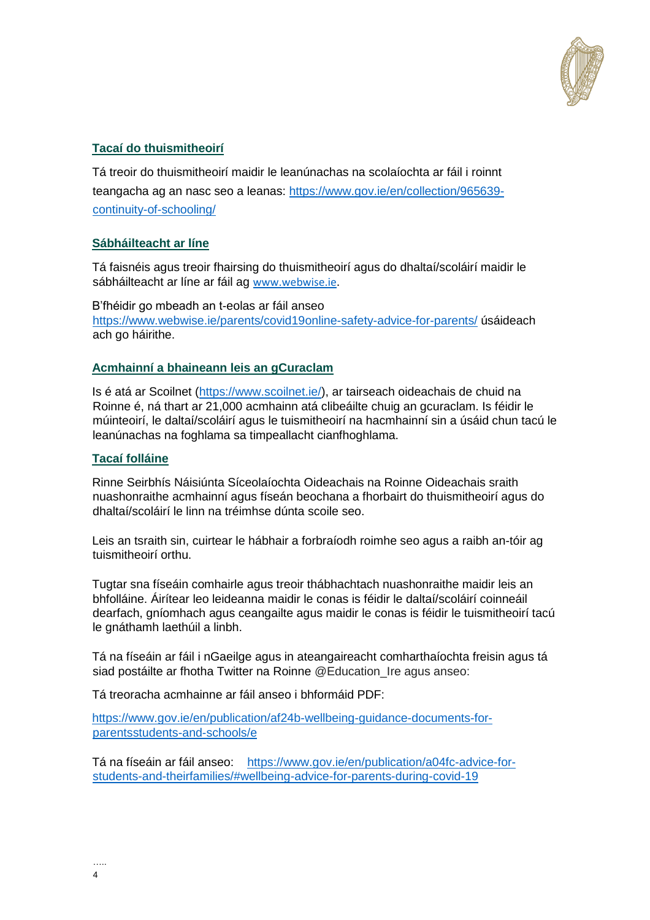

#### **Tacaí do thuismitheoirí**

Tá treoir do thuismitheoirí maidir le leanúnachas na scolaíochta ar fáil i roinnt teangacha ag an nasc seo a leanas: [https://www.gov.ie/en/collection/965639](https://www.gov.ie/en/collection/965639-continuity-of-schooling/) [continuity-of-schooling/](https://www.gov.ie/en/collection/965639-continuity-of-schooling/)

#### **Sábháilteacht ar líne**

Tá faisnéis agus treoir fhairsing do thuismitheoirí agus do dhaltaí/scoláirí maidir le sábháilteacht ar líne ar fáil ag [www.webwise.ie](http://www.webwise.ie/)[.](http://www.webwise.ie/)

B'fhéidir go mbeadh an t-eolas ar fáil anseo [https://www.webwise.ie/parents/covid19online-safety-advice-for-parents/](https://www.webwise.ie/parents/covid19-online-safety-advice-for-parents/) úsáideach ach go háirithe.

#### **Acmhainní a bhaineann leis an gCuraclam**

Is é atá ar Scoilnet [\(https://www.scoilnet.ie/\),](https://www.scoilnet.ie/) ar tairseach oideachais de chuid na Roinne é, ná thart ar 21,000 acmhainn atá clibeáilte chuig an gcuraclam. Is féidir le múinteoirí, le daltaí/scoláirí agus le tuismitheoirí na hacmhainní sin a úsáid chun tacú le leanúnachas na foghlama sa timpeallacht cianfhoghlama.

#### **Tacaí folláine**

Rinne Seirbhís Náisiúnta Síceolaíochta Oideachais na Roinne Oideachais sraith nuashonraithe acmhainní agus físeán beochana a fhorbairt do thuismitheoirí agus do dhaltaí/scoláirí le linn na tréimhse dúnta scoile seo.

Leis an tsraith sin, cuirtear le hábhair a forbraíodh roimhe seo agus a raibh an-tóir ag tuismitheoirí orthu.

Tugtar sna físeáin comhairle agus treoir thábhachtach nuashonraithe maidir leis an bhfolláine. Áirítear leo leideanna maidir le conas is féidir le daltaí/scoláirí coinneáil dearfach, gníomhach agus ceangailte agus maidir le conas is féidir le tuismitheoirí tacú le gnáthamh laethúil a linbh.

Tá na físeáin ar fáil i nGaeilge agus in ateangaireacht comharthaíochta freisin agus tá siad postáilte ar fhotha Twitter na Roinne @Education Ire agus anseo:

Tá treoracha acmhainne ar fáil anseo i bhformáid PDF:

[https://www.gov.ie/en/publication/af24b-wellbeing-guidance-documents-for](https://www.gov.ie/en/publication/af24b-wellbeing-guidance-documents-for-parents-students-and-schools/e)[parentsstudents-and-schools/e](https://www.gov.ie/en/publication/af24b-wellbeing-guidance-documents-for-parents-students-and-schools/e)

Tá na físeáin ar fáil anseo: [https://www.gov.ie/en/publication/a04fc-advice-for](https://www.gov.ie/en/publication/a04fc-advice-for-students-and-their-families/#wellbeing-advice-for-parents-during-covid-19)[students-and-theirfamilies/#wellbeing-advice-for-parents-during-covid-19](https://www.gov.ie/en/publication/a04fc-advice-for-students-and-their-families/#wellbeing-advice-for-parents-during-covid-19)